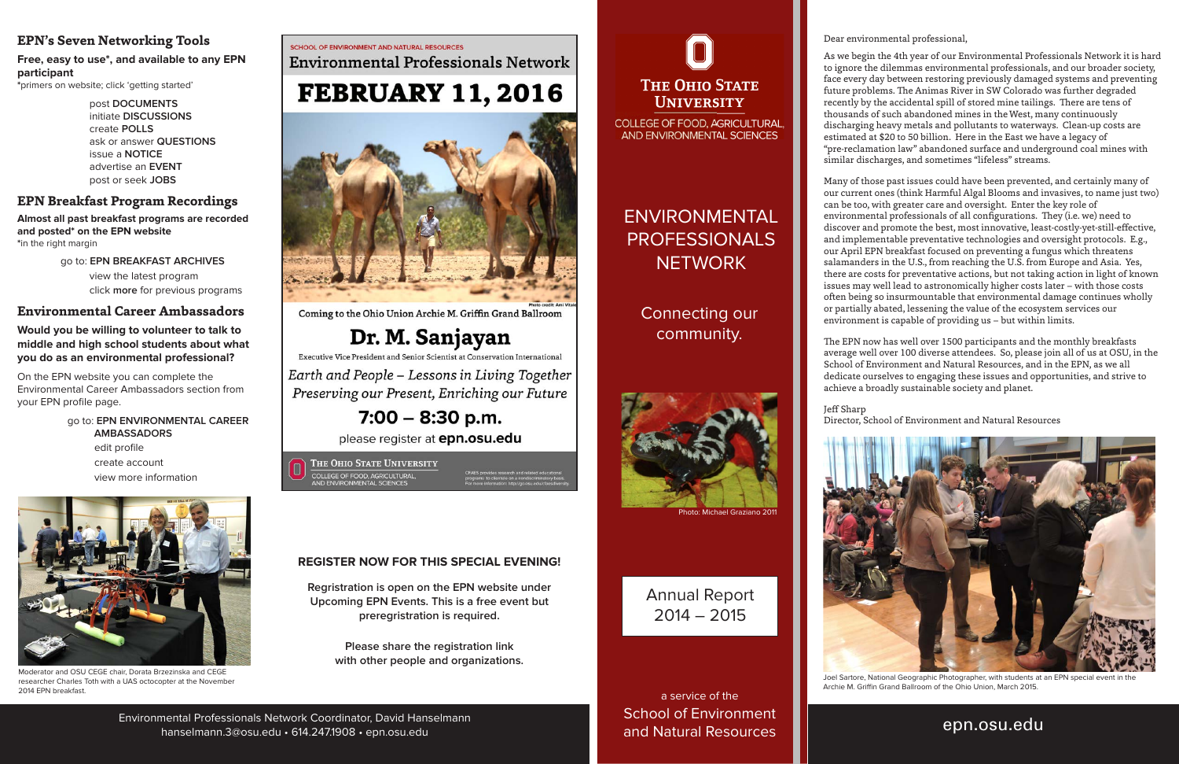Dear environmental professional,

As we begin the 4th year of our Environmental Professionals Network it is hard to ignore the dilemmas environmental professionals, and our broader society, face every day between restoring previously damaged systems and preventing future problems. The Animas River in SW Colorado was further degraded recently by the accidental spill of stored mine tailings. There are tens of thousands of such abandoned mines in the West, many continuously discharging heavy metals and pollutants to waterways. Clean-up costs are estimated at \$20 to 50 billion. Here in the East we have a legacy of "pre-reclamation law" abandoned surface and underground coal mines with similar discharges, and sometimes "lifeless" streams.

The EPN now has well over 1500 participants and the monthly breakfasts average well over 100 diverse attendees. So, please join all of us at OSU, in the School of Environment and Natural Resources, and in the EPN, as we all dedicate ourselves to engaging these issues and opportunities, and strive to achieve a broadly sustainable society and planet.

environmental Professionals Network Coordinator, David Hanselmann and the control of the second of the control of the control of the control of the control of the control of the control of the control of the control of the hanselmann.3@osu.edu • 614.247.1908 • epn.osu.edu

Many of those past issues could have been prevented, and certainly many of our current ones (think Harmful Algal Blooms and invasives, to name just two) can be too, with greater care and oversight. Enter the key role of environmental professionals of all configurations. They (i.e. we) need to discover and promote the best, most innovative, least-costly-yet-still-effective, and implementable preventative technologies and oversight protocols. E.g., our April EPN breakfast focused on preventing a fungus which threatens salamanders in the U.S., from reaching the U.S. from Europe and Asia. Yes, there are costs for preventative actions, but not taking action in light of known issues may well lead to astronomically higher costs later – with those costs often being so insurmountable that environmental damage continues wholly or partially abated, lessening the value of the ecosystem services our environment is capable of providing us – but within limits.

Jeff Sharp

Director, School of Environment and Natural Resources



Joel Sartore, National Geographic Photographer, with students at an EPN special event in the Archie M. Griffin Grand Ballroom of the Ohio Union, March 2015.

## Connecting our community.

Annual Report 2014 – 2015



a service of the School of Environment and Natural Resources

#### **EPN's Seven Networking Tools**

**Free, easy to use\*, and available to any EPN participant**

**\***primers on website; click 'getting started'

post **DOCUMENTS** initiate **DISCUSSIONS** create **POLLS** ask or answer **QUESTIONS** issue a **NOTICE** advertise an **EVENT** post or seek **JOBS**

### **EPN Breakfast Program Recordings**

**Almost all past breakfast programs are recorded and posted\* on the EPN website \***in the right margin

> go to: **EPN BREAKFAST ARCHIVES** view the latest program click **more** for previous programs

### **Environmental Career Ambassadors**

**Would you be willing to volunteer to talk to middle and high school students about what you do as an environmental professional?**

On the EPN website you can complete the Environmental Career Ambassadors section from your EPN profile page.

#### go to: **EPN ENVIRONMENTAL CAREER AMBASSADORS**

edit profile create account view more information

## **REGISTER NOW FOR THIS SPECIAL EVENING!**

**Regristration is open on the EPN website under Upcoming EPN Events. This is a free event but preregristration is required.**

> **Please share the registration link with other people and organizations.**

# **THE OHIO STATE UNIVERSITY**

**COLLEGE OF FOOD, AGRICULTURAL** AND ENVIRONMENTAL SCIENCES

## ENVIRONMENTAL PROFESSIONALS **NETWORK**



Moderator and OSU CEGE chair, Dorata Brzezinska and CEGE researcher Charles Toth with a UAS octocopter at the November 2014 EPN breakfast.

#### **SCHOOL OF ENVIRONMENT AND NATURAL RESOURCES**

**Environmental Professionals Network** 

# **FEBRUARY 11, 2016**



Coming to the Ohio Union Archie M. Griffin Grand Ballroom

## Dr. M. Sanjayan

Executive Vice President and Senior Scientist at Conservation International

Earth and People - Lessons in Living Together Preserving our Present, Enriching our Future

## $7:00 - 8:30$  p.m.

please register at **epn.osu.edu** 

THE OHIO STATE UNIVERSITY COLLEGE OF FOOD, AGRICULTURAL<br>AND ENVIRONMENTAL SCIENCES